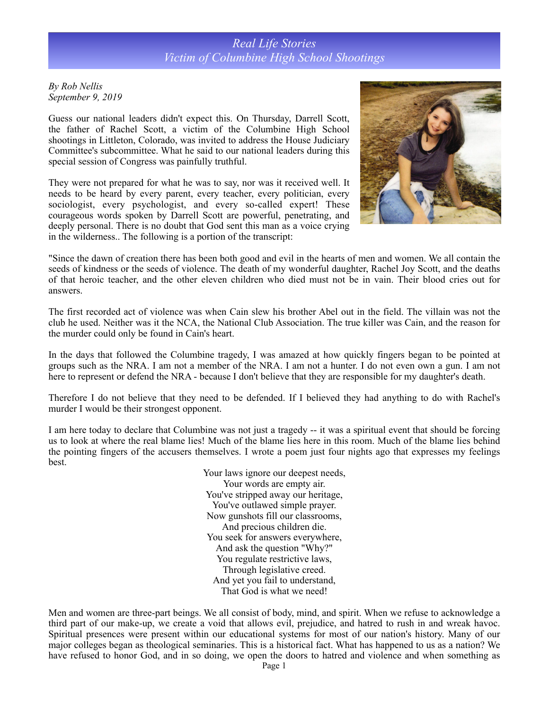## *Real Life Stories Victim of Columbine High School Shootings*

*By Rob Nellis September 9, 2019*

Guess our national leaders didn't expect this. On Thursday, Darrell Scott, the father of Rachel Scott, a victim of the Columbine High School shootings in Littleton, Colorado, was invited to address the House Judiciary Committee's subcommittee. What he said to our national leaders during this special session of Congress was painfully truthful.

They were not prepared for what he was to say, nor was it received well. It needs to be heard by every parent, every teacher, every politician, every sociologist, every psychologist, and every so-called expert! These courageous words spoken by Darrell Scott are powerful, penetrating, and deeply personal. There is no doubt that God sent this man as a voice crying in the wilderness.. The following is a portion of the transcript:



"Since the dawn of creation there has been both good and evil in the hearts of men and women. We all contain the seeds of kindness or the seeds of violence. The death of my wonderful daughter, Rachel Joy Scott, and the deaths of that heroic teacher, and the other eleven children who died must not be in vain. Their blood cries out for answers.

The first recorded act of violence was when Cain slew his brother Abel out in the field. The villain was not the club he used. Neither was it the NCA, the National Club Association. The true killer was Cain, and the reason for the murder could only be found in Cain's heart.

In the days that followed the Columbine tragedy, I was amazed at how quickly fingers began to be pointed at groups such as the NRA. I am not a member of the NRA. I am not a hunter. I do not even own a gun. I am not here to represent or defend the NRA - because I don't believe that they are responsible for my daughter's death.

Therefore I do not believe that they need to be defended. If I believed they had anything to do with Rachel's murder I would be their strongest opponent.

I am here today to declare that Columbine was not just a tragedy -- it was a spiritual event that should be forcing us to look at where the real blame lies! Much of the blame lies here in this room. Much of the blame lies behind the pointing fingers of the accusers themselves. I wrote a poem just four nights ago that expresses my feelings best.

> Your laws ignore our deepest needs, Your words are empty air. You've stripped away our heritage, You've outlawed simple prayer. Now gunshots fill our classrooms, And precious children die. You seek for answers everywhere, And ask the question "Why?" You regulate restrictive laws, Through legislative creed. And yet you fail to understand, That God is what we need!

Men and women are three-part beings. We all consist of body, mind, and spirit. When we refuse to acknowledge a third part of our make-up, we create a void that allows evil, prejudice, and hatred to rush in and wreak havoc. Spiritual presences were present within our educational systems for most of our nation's history. Many of our major colleges began as theological seminaries. This is a historical fact. What has happened to us as a nation? We have refused to honor God, and in so doing, we open the doors to hatred and violence and when something as